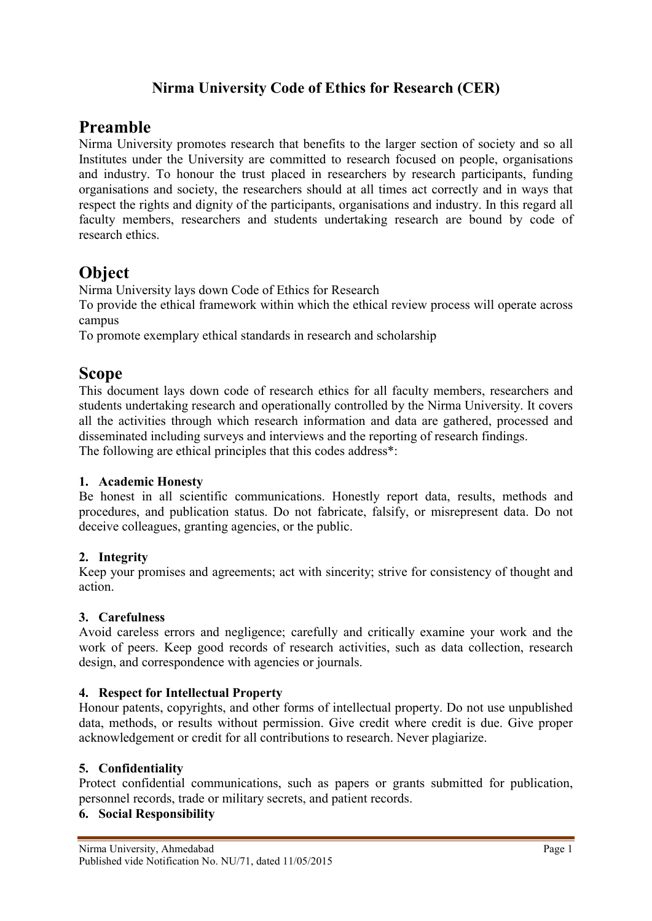## Nirma University Code of Ethics for Research (CER)

# Preamble

Nirma University promotes research that benefits to the larger section of society and so all Institutes under the University are committed to research focused on people, organisations and industry. To honour the trust placed in researchers by research participants, funding organisations and society, the researchers should at all times act correctly and in ways that respect the rights and dignity of the participants, organisations and industry. In this regard all faculty members, researchers and students undertaking research are bound by code of research ethics.

## Object

Nirma University lays down Code of Ethics for Research

To provide the ethical framework within which the ethical review process will operate across campus

To promote exemplary ethical standards in research and scholarship

# Scope

This document lays down code of research ethics for all faculty members, researchers and students undertaking research and operationally controlled by the Nirma University. It covers all the activities through which research information and data are gathered, processed and disseminated including surveys and interviews and the reporting of research findings. The following are ethical principles that this codes address<sup>\*</sup>:

#### 1. Academic Honesty

Be honest in all scientific communications. Honestly report data, results, methods and procedures, and publication status. Do not fabricate, falsify, or misrepresent data. Do not deceive colleagues, granting agencies, or the public.

## 2. Integrity

Keep your promises and agreements; act with sincerity; strive for consistency of thought and action.

## 3. Carefulness

Avoid careless errors and negligence; carefully and critically examine your work and the work of peers. Keep good records of research activities, such as data collection, research design, and correspondence with agencies or journals.

#### 4. Respect for Intellectual Property

Honour patents, copyrights, and other forms of intellectual property. Do not use unpublished data, methods, or results without permission. Give credit where credit is due. Give proper acknowledgement or credit for all contributions to research. Never plagiarize.

## 5. Confidentiality

Protect confidential communications, such as papers or grants submitted for publication, personnel records, trade or military secrets, and patient records.

#### 6. Social Responsibility